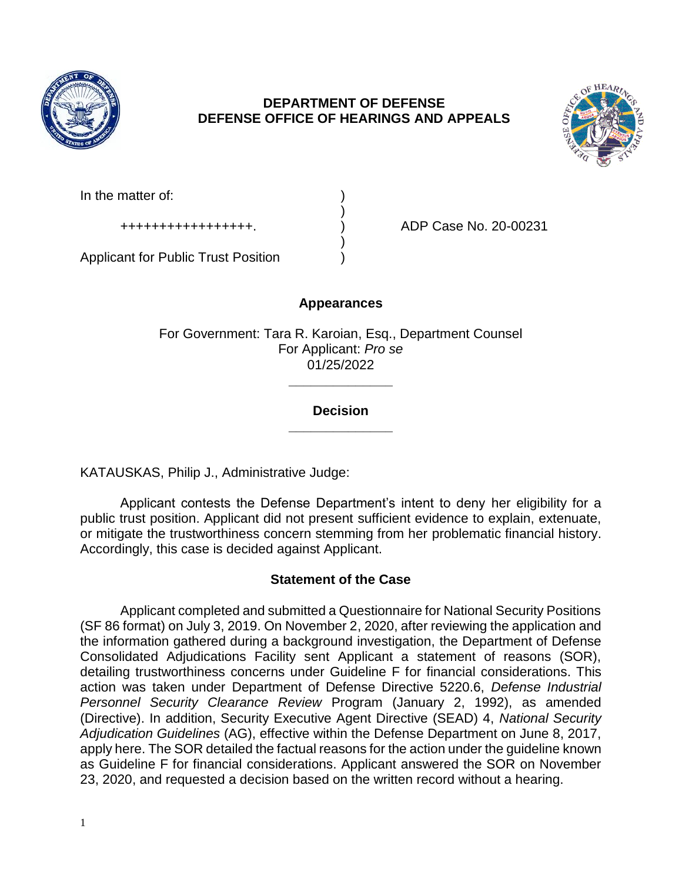

# **DEPARTMENT OF DEFENSE DEFENSE OFFICE OF HEARINGS AND APPEALS**



In the matter of:

+++++++++++++++++. ) ADP Case No. 20-00231

Applicant for Public Trust Position )

# **Appearances**

)

)

For Government: Tara R. Karoian, Esq., Department Counsel For Applicant: *Pro se*  01/25/2022

## **\_\_\_\_\_\_\_\_\_\_\_\_\_\_ Decision**

**\_\_\_\_\_\_\_\_\_\_\_\_\_\_** 

KATAUSKAS, Philip J., Administrative Judge:

 Applicant contests the Defense Department's intent to deny her eligibility for a public trust position. Applicant did not present sufficient evidence to explain, extenuate, or mitigate the trustworthiness concern stemming from her problematic financial history. Accordingly, this case is decided against Applicant.

# **Statement of the Case**

 Applicant completed and submitted a Questionnaire for National Security Positions (SF 86 format) on July 3, 2019. On November 2, 2020, after reviewing the application and the information gathered during a background investigation, the Department of Defense Consolidated Adjudications Facility sent Applicant a statement of reasons (SOR), detailing trustworthiness concerns under Guideline F for financial considerations. This action was taken under Department of Defense Directive 5220.6, *Defense Industrial Personnel Security Clearance Review* Program (January 2, 1992), as amended (Directive). In addition, Security Executive Agent Directive (SEAD) 4, *National Security Adjudication Guidelines* (AG), effective within the Defense Department on June 8, 2017, apply here. The SOR detailed the factual reasons for the action under the guideline known as Guideline F for financial considerations. Applicant answered the SOR on November 23, 2020, and requested a decision based on the written record without a hearing.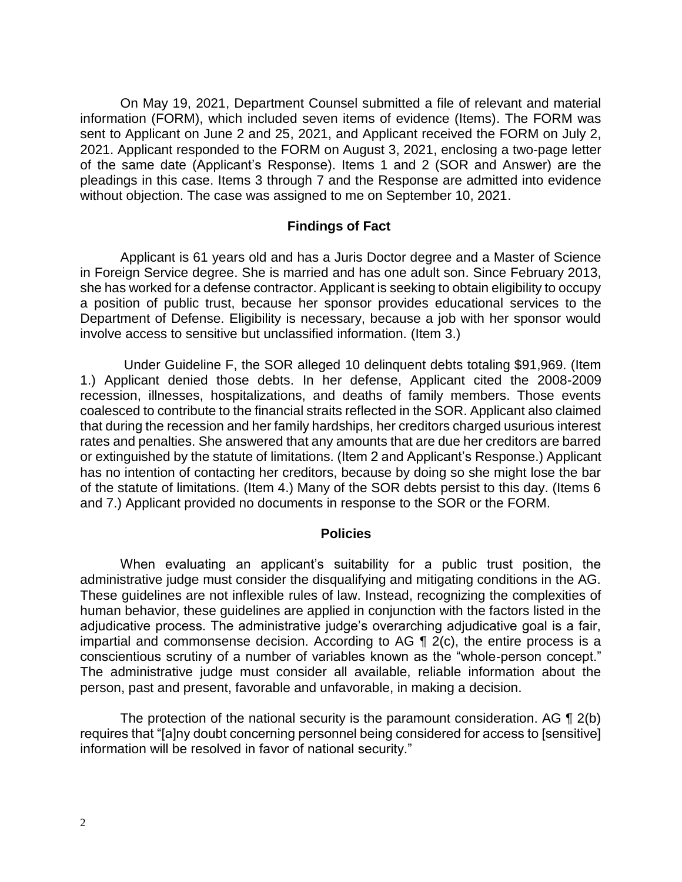On May 19, 2021, Department Counsel submitted a file of relevant and material information (FORM), which included seven items of evidence (Items). The FORM was sent to Applicant on June 2 and 25, 2021, and Applicant received the FORM on July 2, 2021. Applicant responded to the FORM on August 3, 2021, enclosing a two-page letter of the same date (Applicant's Response). Items 1 and 2 (SOR and Answer) are the pleadings in this case. Items 3 through 7 and the Response are admitted into evidence without objection. The case was assigned to me on September 10, 2021.

#### **Findings of Fact**

 Applicant is 61 years old and has a Juris Doctor degree and a Master of Science in Foreign Service degree. She is married and has one adult son. Since February 2013, she has worked for a defense contractor. Applicant is seeking to obtain eligibility to occupy a position of public trust, because her sponsor provides educational services to the Department of Defense. Eligibility is necessary, because a job with her sponsor would involve access to sensitive but unclassified information. (Item 3.)

 Under Guideline F, the SOR alleged 10 delinquent debts totaling \$91,969. (Item 1.) Applicant denied those debts. In her defense, Applicant cited the 2008-2009 recession, illnesses, hospitalizations, and deaths of family members. Those events coalesced to contribute to the financial straits reflected in the SOR. Applicant also claimed that during the recession and her family hardships, her creditors charged usurious interest rates and penalties. She answered that any amounts that are due her creditors are barred or extinguished by the statute of limitations. (Item 2 and Applicant's Response.) Applicant has no intention of contacting her creditors, because by doing so she might lose the bar of the statute of limitations. (Item 4.) Many of the SOR debts persist to this day. (Items 6 and 7.) Applicant provided no documents in response to the SOR or the FORM.

#### **Policies**

 When evaluating an applicant's suitability for a public trust position, the administrative judge must consider the disqualifying and mitigating conditions in the AG. These guidelines are not inflexible rules of law. Instead, recognizing the complexities of human behavior, these guidelines are applied in conjunction with the factors listed in the adjudicative process. The administrative judge's overarching adjudicative goal is a fair, impartial and commonsense decision. According to AG  $\P$  2(c), the entire process is a conscientious scrutiny of a number of variables known as the "whole-person concept." The administrative judge must consider all available, reliable information about the person, past and present, favorable and unfavorable, in making a decision.

The protection of the national security is the paramount consideration. AG  $\P$  2(b) requires that "[a]ny doubt concerning personnel being considered for access to [sensitive] information will be resolved in favor of national security."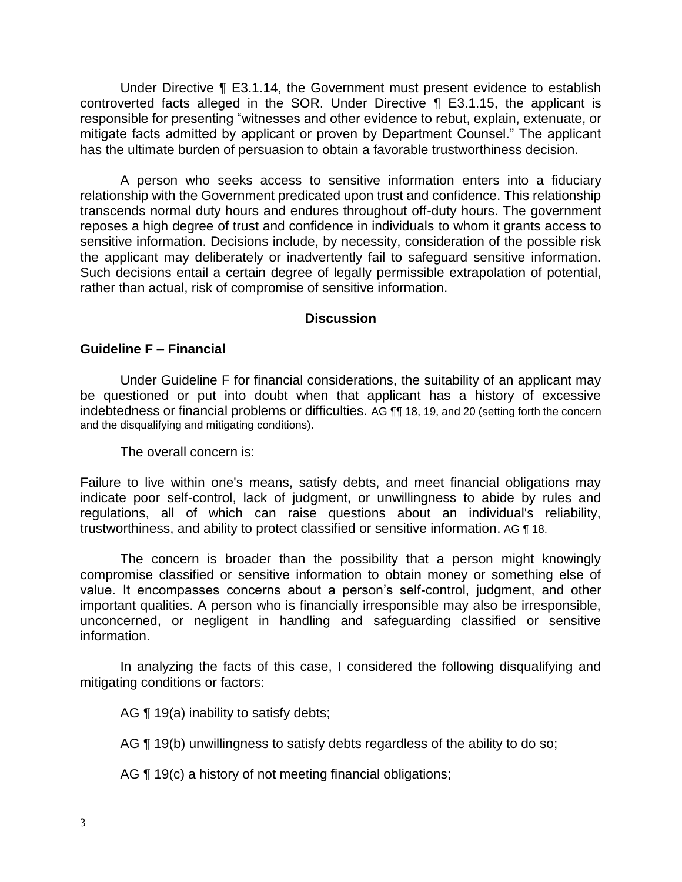Under Directive ¶ E3.1.14, the Government must present evidence to establish controverted facts alleged in the SOR. Under Directive ¶ E3.1.15, the applicant is responsible for presenting "witnesses and other evidence to rebut, explain, extenuate, or mitigate facts admitted by applicant or proven by Department Counsel." The applicant has the ultimate burden of persuasion to obtain a favorable trustworthiness decision.

 A person who seeks access to sensitive information enters into a fiduciary relationship with the Government predicated upon trust and confidence. This relationship transcends normal duty hours and endures throughout off-duty hours. The government reposes a high degree of trust and confidence in individuals to whom it grants access to sensitive information. Decisions include, by necessity, consideration of the possible risk the applicant may deliberately or inadvertently fail to safeguard sensitive information. Such decisions entail a certain degree of legally permissible extrapolation of potential, rather than actual, risk of compromise of sensitive information.

### **Discussion**

### **Guideline F – Financial**

Under Guideline F for financial considerations, the suitability of an applicant may be questioned or put into doubt when that applicant has a history of excessive indebtedness or financial problems or difficulties. AG ¶¶ 18, 19, and 20 (setting forth the concern and the disqualifying and mitigating conditions).

The overall concern is:

 Failure to live within one's means, satisfy debts, and meet financial obligations may indicate poor self-control, lack of judgment, or unwillingness to abide by rules and regulations, all of which can raise questions about an individual's reliability, trustworthiness, and ability to protect classified or sensitive information. AG ¶ 18.

 The concern is broader than the possibility that a person might knowingly compromise classified or sensitive information to obtain money or something else of value. It encompasses concerns about a person's self-control, judgment, and other important qualities. A person who is financially irresponsible may also be irresponsible, unconcerned, or negligent in handling and safeguarding classified or sensitive information.

 In analyzing the facts of this case, I considered the following disqualifying and mitigating conditions or factors:

AG  $\P$  19(a) inability to satisfy debts;

AG ¶ 19(b) unwillingness to satisfy debts regardless of the ability to do so;

AG ¶ 19(c) a history of not meeting financial obligations;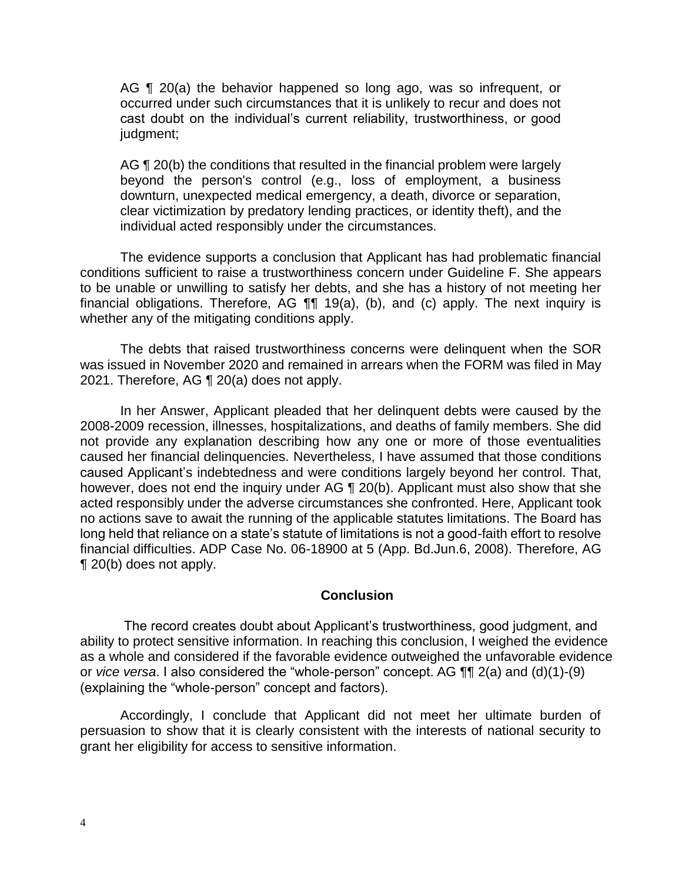AG ¶ 20(a) the behavior happened so long ago, was so infrequent, or occurred under such circumstances that it is unlikely to recur and does not cast doubt on the individual's current reliability, trustworthiness, or good judgment;

AG ¶ 20(b) the conditions that resulted in the financial problem were largely beyond the person's control (e.g., loss of employment, a business downturn, unexpected medical emergency, a death, divorce or separation, clear victimization by predatory lending practices, or identity theft), and the individual acted responsibly under the circumstances.

 The evidence supports a conclusion that Applicant has had problematic financial conditions sufficient to raise a trustworthiness concern under Guideline F. She appears to be unable or unwilling to satisfy her debts, and she has a history of not meeting her financial obligations. Therefore, AG ¶¶ 19(a), (b), and (c) apply. The next inquiry is whether any of the mitigating conditions apply.

 The debts that raised trustworthiness concerns were delinquent when the SOR was issued in November 2020 and remained in arrears when the FORM was filed in May 2021. Therefore, AG ¶ 20(a) does not apply.

 In her Answer, Applicant pleaded that her delinquent debts were caused by the not provide any explanation describing how any one or more of those eventualities caused her financial delinquencies. Nevertheless, I have assumed that those conditions caused Applicant's indebtedness and were conditions largely beyond her control. That, however, does not end the inquiry under AG ¶ 20(b). Applicant must also show that she acted responsibly under the adverse circumstances she confronted. Here, Applicant took no actions save to await the running of the applicable statutes limitations. The Board has long held that reliance on a state's statute of limitations is not a good-faith effort to resolve financial difficulties. ADP Case No. 06-18900 at 5 (App. Bd.Jun.6, 2008). Therefore, AG 2008-2009 recession, illnesses, hospitalizations, and deaths of family members. She did ¶ 20(b) does not apply.

#### **Conclusion**

The record creates doubt about Applicant's trustworthiness, good judgment, and ability to protect sensitive information. In reaching this conclusion, I weighed the evidence as a whole and considered if the favorable evidence outweighed the unfavorable evidence or *vice versa*. I also considered the "whole-person" concept. AG ¶¶ 2(a) and (d)(1)-(9) (explaining the "whole-person" concept and factors).

 Accordingly, I conclude that Applicant did not meet her ultimate burden of persuasion to show that it is clearly consistent with the interests of national security to grant her eligibility for access to sensitive information.